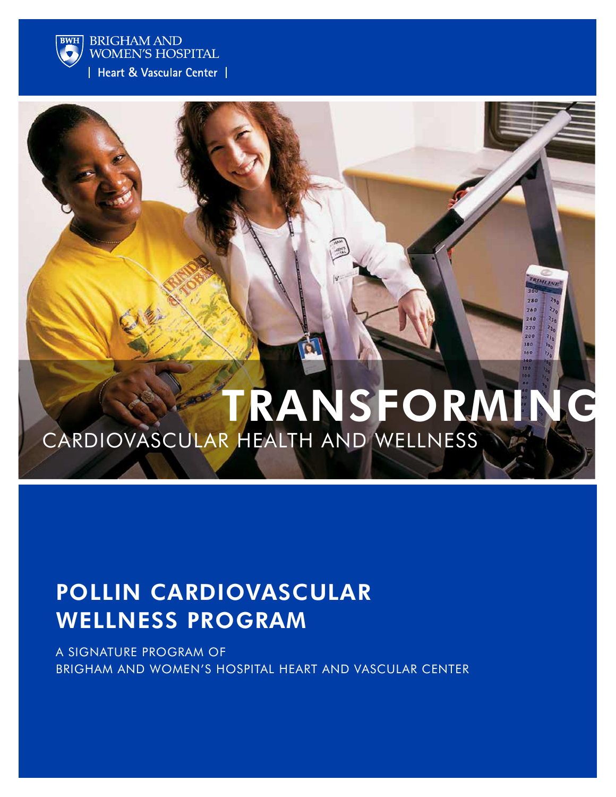

**BRIGHAM AND WOMEN'S HOSPITAL** 

Heart & Vascular Center |

# transforming cardiovascular health and wellness

## pollin cardiovascular wellneSS PROGRAM

A SIGNATURE PROGRAM OF brigham and women's hospital HEART AND VASCULAR CENTER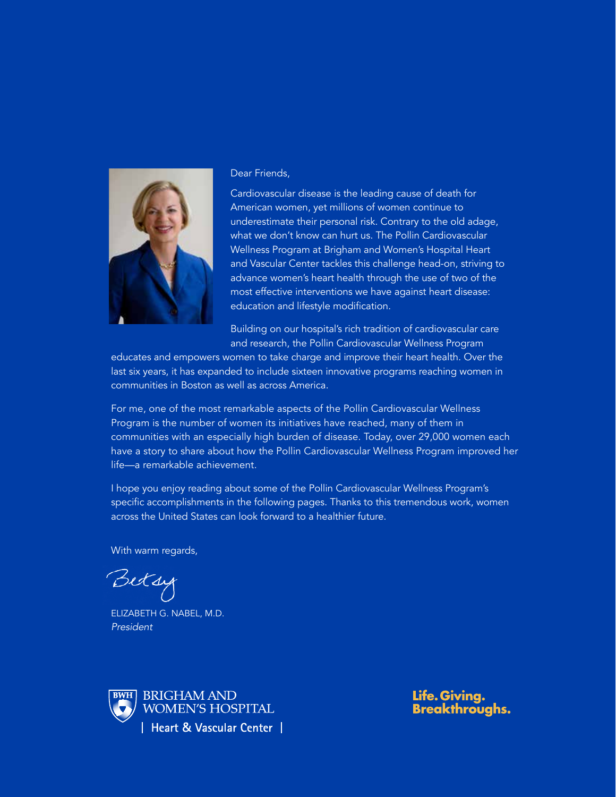

#### Dear Friends,

Cardiovascular disease is the leading cause of death for American women, yet millions of women continue to underestimate their personal risk. Contrary to the old adage, what we don't know can hurt us. The Pollin Cardiovascular Wellness Program at Brigham and Women's Hospital Heart and Vascular Center tackles this challenge head-on, striving to advance women's heart health through the use of two of the most effective interventions we have against heart disease: education and lifestyle modification.

Building on our hospital's rich tradition of cardiovascular care and research, the Pollin Cardiovascular Wellness Program

educates and empowers women to take charge and improve their heart health. Over the last six years, it has expanded to include sixteen innovative programs reaching women in communities in Boston as well as across America.

For me, one of the most remarkable aspects of the Pollin Cardiovascular Wellness Program is the number of women its initiatives have reached, many of them in communities with an especially high burden of disease. Today, over 29,000 women each have a story to share about how the Pollin Cardiovascular Wellness Program improved her life—a remarkable achievement.

I hope you enjoy reading about some of the Pollin Cardiovascular Wellness Program's specific accomplishments in the following pages. Thanks to this tremendous work, women across the United States can look forward to a healthier future.

With warm regards,

Betsy

Elizabeth G. Nabel, M.D. *President*



Life. Giving. **Breakthroughs.**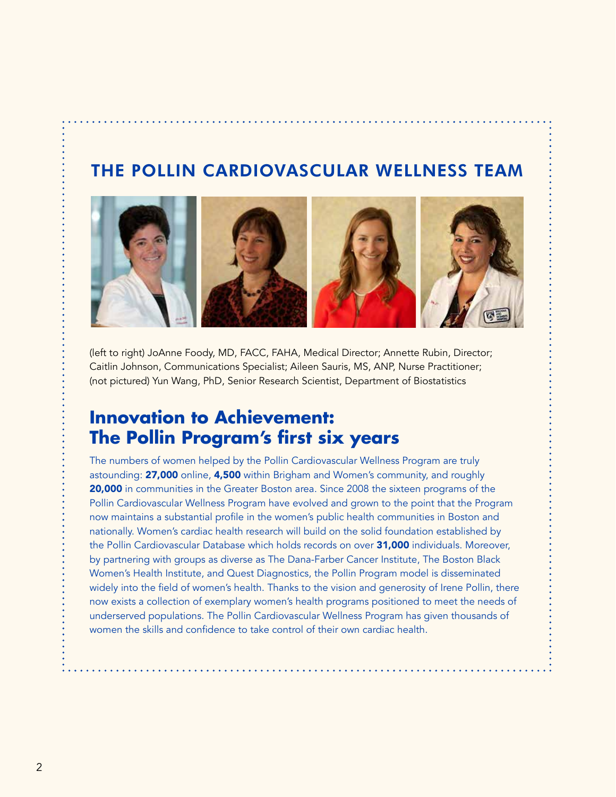## THE POLLIN CARDIOVASCULAR WELLNESS TEAM



(left to right) JoAnne Foody, MD, FACC, FAHA, Medical Director; Annette Rubin, Director; Caitlin Johnson, Communications Specialist; Aileen Sauris, MS, ANP, Nurse Practitioner; (not pictured) Yun Wang, PhD, Senior Research Scientist, Department of Biostatistics

## **Innovation to Achievement: The Pollin Program's first six years**

The numbers of women helped by the Pollin Cardiovascular Wellness Program are truly astounding: 27,000 online, 4,500 within Brigham and Women's community, and roughly 20,000 in communities in the Greater Boston area. Since 2008 the sixteen programs of the Pollin Cardiovascular Wellness Program have evolved and grown to the point that the Program now maintains a substantial profile in the women's public health communities in Boston and nationally. Women's cardiac health research will build on the solid foundation established by the Pollin Cardiovascular Database which holds records on over 31,000 individuals. Moreover, by partnering with groups as diverse as The Dana-Farber Cancer Institute, The Boston Black Women's Health Institute, and Quest Diagnostics, the Pollin Program model is disseminated widely into the field of women's health. Thanks to the vision and generosity of Irene Pollin, there now exists a collection of exemplary women's health programs positioned to meet the needs of underserved populations. The Pollin Cardiovascular Wellness Program has given thousands of women the skills and confidence to take control of their own cardiac health.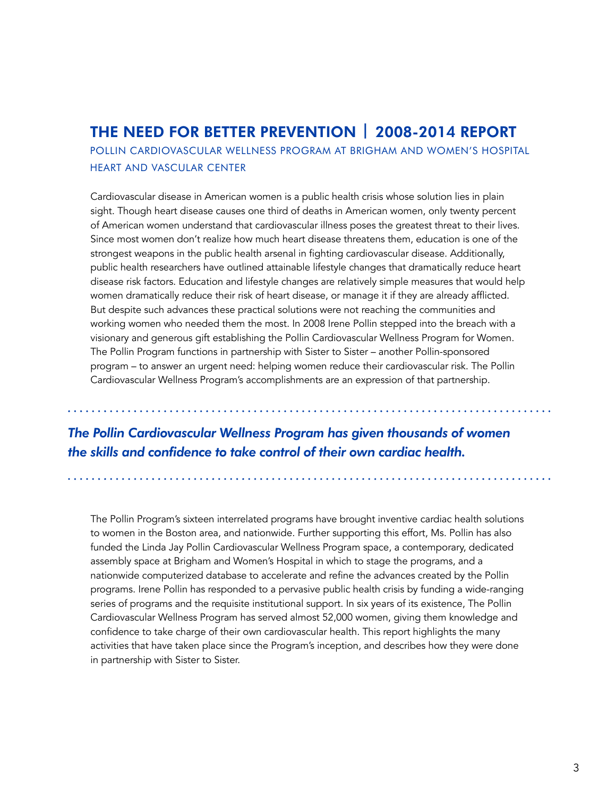## THE NEED FOR BETTER PREVENTION | 2008-2014 Report

POLLIN CARDIOVASCULAR WELLNESS PROGRAM AT BRIGHAM AND WOMEN'S HOSPITAL HEART AND VASCULAR CENTER

Cardiovascular disease in American women is a public health crisis whose solution lies in plain sight. Though heart disease causes one third of deaths in American women, only twenty percent of American women understand that cardiovascular illness poses the greatest threat to their lives. Since most women don't realize how much heart disease threatens them, education is one of the strongest weapons in the public health arsenal in fighting cardiovascular disease. Additionally, public health researchers have outlined attainable lifestyle changes that dramatically reduce heart disease risk factors. Education and lifestyle changes are relatively simple measures that would help women dramatically reduce their risk of heart disease, or manage it if they are already afflicted. But despite such advances these practical solutions were not reaching the communities and working women who needed them the most. In 2008 Irene Pollin stepped into the breach with a visionary and generous gift establishing the Pollin Cardiovascular Wellness Program for Women. The Pollin Program functions in partnership with Sister to Sister – another Pollin-sponsored program – to answer an urgent need: helping women reduce their cardiovascular risk. The Pollin Cardiovascular Wellness Program's accomplishments are an expression of that partnership.

## *The Pollin Cardiovascular Wellness Program has given thousands of women the skills and confidence to take control of their own cardiac health.*

The Pollin Program's sixteen interrelated programs have brought inventive cardiac health solutions to women in the Boston area, and nationwide. Further supporting this effort, Ms. Pollin has also funded the Linda Jay Pollin Cardiovascular Wellness Program space, a contemporary, dedicated assembly space at Brigham and Women's Hospital in which to stage the programs, and a nationwide computerized database to accelerate and refine the advances created by the Pollin programs. Irene Pollin has responded to a pervasive public health crisis by funding a wide-ranging series of programs and the requisite institutional support. In six years of its existence, The Pollin Cardiovascular Wellness Program has served almost 52,000 women, giving them knowledge and confidence to take charge of their own cardiovascular health. This report highlights the many activities that have taken place since the Program's inception, and describes how they were done in partnership with Sister to Sister.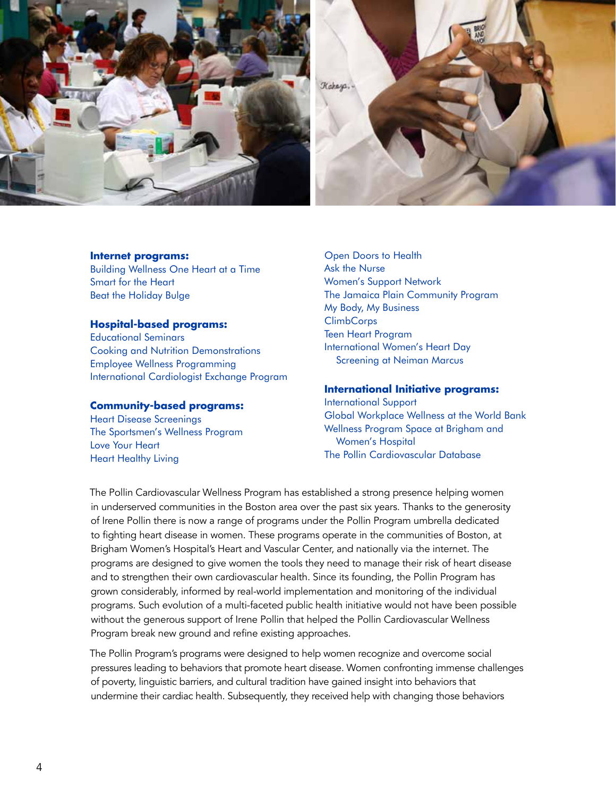

#### **Internet programs:**

Building Wellness One Heart at a Time Smart for the Heart Beat the Holiday Bulge

#### **Hospital-based programs:**

Educational Seminars Cooking and Nutrition Demonstrations Employee Wellness Programming International Cardiologist Exchange Program

#### **Community-based programs:**

Heart Disease Screenings The Sportsmen's Wellness Program Love Your Heart Heart Healthy Living

Open Doors to Health Ask the Nurse Women's Support Network The Jamaica Plain Community Program My Body, My Business **ClimbCorps** Teen Heart Program International Women's Heart Day Screening at Neiman Marcus

#### **International Initiative programs:**

International Support Global Workplace Wellness at the World Bank Wellness Program Space at Brigham and Women's Hospital The Pollin Cardiovascular Database

The Pollin Cardiovascular Wellness Program has established a strong presence helping women in underserved communities in the Boston area over the past six years. Thanks to the generosity of Irene Pollin there is now a range of programs under the Pollin Program umbrella dedicated to fighting heart disease in women. These programs operate in the communities of Boston, at Brigham Women's Hospital's Heart and Vascular Center, and nationally via the internet. The programs are designed to give women the tools they need to manage their risk of heart disease and to strengthen their own cardiovascular health. Since its founding, the Pollin Program has grown considerably, informed by real-world implementation and monitoring of the individual programs. Such evolution of a multi-faceted public health initiative would not have been possible without the generous support of Irene Pollin that helped the Pollin Cardiovascular Wellness Program break new ground and refine existing approaches.

The Pollin Program's programs were designed to help women recognize and overcome social pressures leading to behaviors that promote heart disease. Women confronting immense challenges of poverty, linguistic barriers, and cultural tradition have gained insight into behaviors that undermine their cardiac health. Subsequently, they received help with changing those behaviors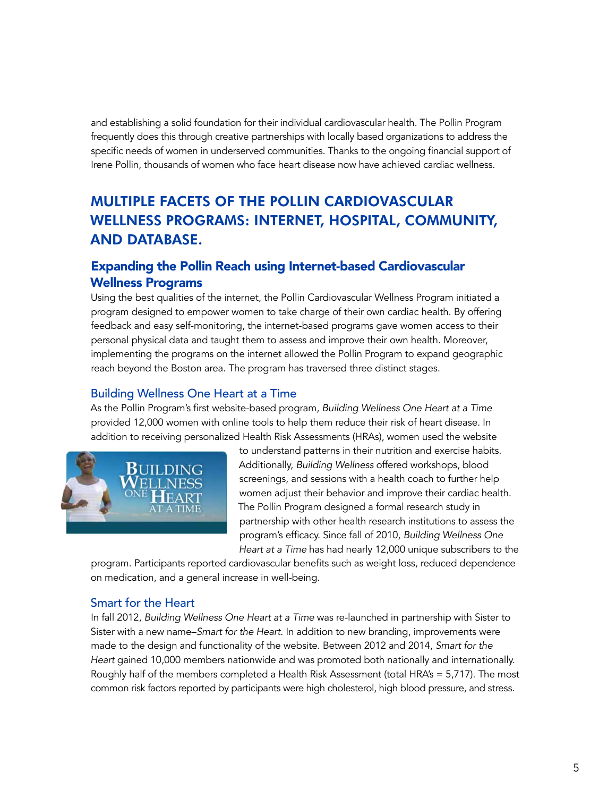and establishing a solid foundation for their individual cardiovascular health. The Pollin Program frequently does this through creative partnerships with locally based organizations to address the specific needs of women in underserved communities. Thanks to the ongoing financial support of Irene Pollin, thousands of women who face heart disease now have achieved cardiac wellness.

## MULTIPLE FACETS of the POLLIN CARDIOVASCULAR WELLNESS PROGRAMS: Internet, Hospital, Community, and Database.

#### Expanding the Pollin Reach using Internet-based Cardiovascular Wellness Programs

Using the best qualities of the internet, the Pollin Cardiovascular Wellness Program initiated a program designed to empower women to take charge of their own cardiac health. By offering feedback and easy self-monitoring, the internet-based programs gave women access to their personal physical data and taught them to assess and improve their own health. Moreover, implementing the programs on the internet allowed the Pollin Program to expand geographic reach beyond the Boston area. The program has traversed three distinct stages.

#### Building Wellness One Heart at a Time

As the Pollin Program's first website-based program, *Building Wellness One Heart at a Time* provided 12,000 women with online tools to help them reduce their risk of heart disease. In addition to receiving personalized Health Risk Assessments (HRAs), women used the website



to understand patterns in their nutrition and exercise habits. Additionally, *Building Wellness* offered workshops, blood screenings, and sessions with a health coach to further help women adjust their behavior and improve their cardiac health. The Pollin Program designed a formal research study in partnership with other health research institutions to assess the program's efficacy. Since fall of 2010, *Building Wellness One Heart at a Time* has had nearly 12,000 unique subscribers to the

program. Participants reported cardiovascular benefits such as weight loss, reduced dependence on medication, and a general increase in well-being.

#### Smart for the Heart

In fall 2012, *Building Wellness One Heart at a Time* was re-launched in partnership with Sister to Sister with a new name–*Smart for the Heart*. In addition to new branding, improvements were made to the design and functionality of the website. Between 2012 and 2014, *Smart for the Heart* gained 10,000 members nationwide and was promoted both nationally and internationally. Roughly half of the members completed a Health Risk Assessment (total HRA's = 5,717). The most common risk factors reported by participants were high cholesterol, high blood pressure, and stress.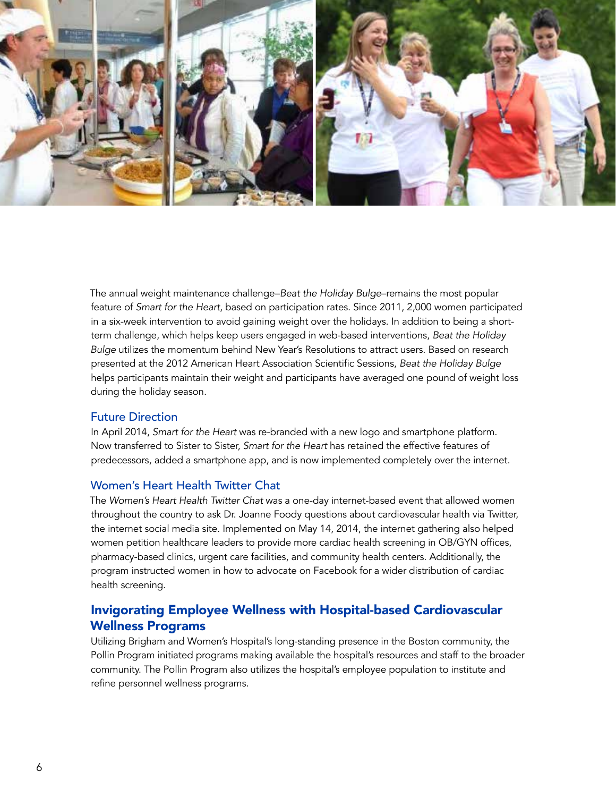

The annual weight maintenance challenge–*Beat the Holiday Bulge*–remains the most popular feature of *Smart for the Heart*, based on participation rates. Since 2011, 2,000 women participated in a six-week intervention to avoid gaining weight over the holidays. In addition to being a shortterm challenge, which helps keep users engaged in web-based interventions, *Beat the Holiday Bulge* utilizes the momentum behind New Year's Resolutions to attract users. Based on research presented at the 2012 American Heart Association Scientific Sessions, *Beat the Holiday Bulge* helps participants maintain their weight and participants have averaged one pound of weight loss during the holiday season.

#### Future Direction

In April 2014, *Smart for the Heart* was re-branded with a new logo and smartphone platform. Now transferred to Sister to Sister, *Smart for the Heart* has retained the effective features of predecessors, added a smartphone app, and is now implemented completely over the internet.

#### Women's Heart Health Twitter Chat

The *Women's Heart Health Twitter Chat* was a one-day internet-based event that allowed women throughout the country to ask Dr. Joanne Foody questions about cardiovascular health via Twitter, the internet social media site. Implemented on May 14, 2014, the internet gathering also helped women petition healthcare leaders to provide more cardiac health screening in OB/GYN offices, pharmacy-based clinics, urgent care facilities, and community health centers. Additionally, the program instructed women in how to advocate on Facebook for a wider distribution of cardiac health screening.

### Invigorating Employee Wellness with Hospital-based Cardiovascular Wellness Programs

Utilizing Brigham and Women's Hospital's long-standing presence in the Boston community, the Pollin Program initiated programs making available the hospital's resources and staff to the broader community. The Pollin Program also utilizes the hospital's employee population to institute and refine personnel wellness programs.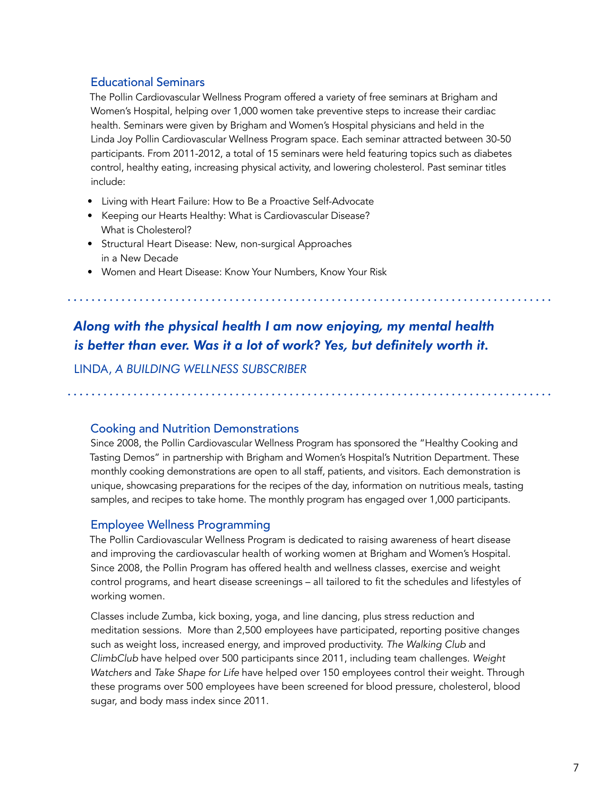#### Educational Seminars

The Pollin Cardiovascular Wellness Program offered a variety of free seminars at Brigham and Women's Hospital, helping over 1,000 women take preventive steps to increase their cardiac health. Seminars were given by Brigham and Women's Hospital physicians and held in the Linda Joy Pollin Cardiovascular Wellness Program space. Each seminar attracted between 30-50 participants. From 2011-2012, a total of 15 seminars were held featuring topics such as diabetes control, healthy eating, increasing physical activity, and lowering cholesterol. Past seminar titles include:

- Living with Heart Failure: How to Be a Proactive Self-Advocate
- Keeping our Hearts Healthy: What is Cardiovascular Disease? What is Cholesterol?
- Structural Heart Disease: New, non-surgical Approaches in a New Decade
- Women and Heart Disease: Know Your Numbers, Know Your Risk

## *Along with the physical health I am now enjoying, my mental health is better than ever. Was it a lot of work? Yes, but definitely worth it.*

Linda, *A Building Wellness subscriber*

#### Cooking and Nutrition Demonstrations

Since 2008, the Pollin Cardiovascular Wellness Program has sponsored the "Healthy Cooking and Tasting Demos" in partnership with Brigham and Women's Hospital's Nutrition Department. These monthly cooking demonstrations are open to all staff, patients, and visitors. Each demonstration is unique, showcasing preparations for the recipes of the day, information on nutritious meals, tasting samples, and recipes to take home. The monthly program has engaged over 1,000 participants.

#### Employee Wellness Programming

The Pollin Cardiovascular Wellness Program is dedicated to raising awareness of heart disease and improving the cardiovascular health of working women at Brigham and Women's Hospital. Since 2008, the Pollin Program has offered health and wellness classes, exercise and weight control programs, and heart disease screenings – all tailored to fit the schedules and lifestyles of working women.

Classes include Zumba, kick boxing, yoga, and line dancing, plus stress reduction and meditation sessions. More than 2,500 employees have participated, reporting positive changes such as weight loss, increased energy, and improved productivity. *The Walking Club* and *ClimbClub* have helped over 500 participants since 2011, including team challenges. *Weight Watchers* and *Take Shape for Life* have helped over 150 employees control their weight. Through these programs over 500 employees have been screened for blood pressure, cholesterol, blood sugar, and body mass index since 2011.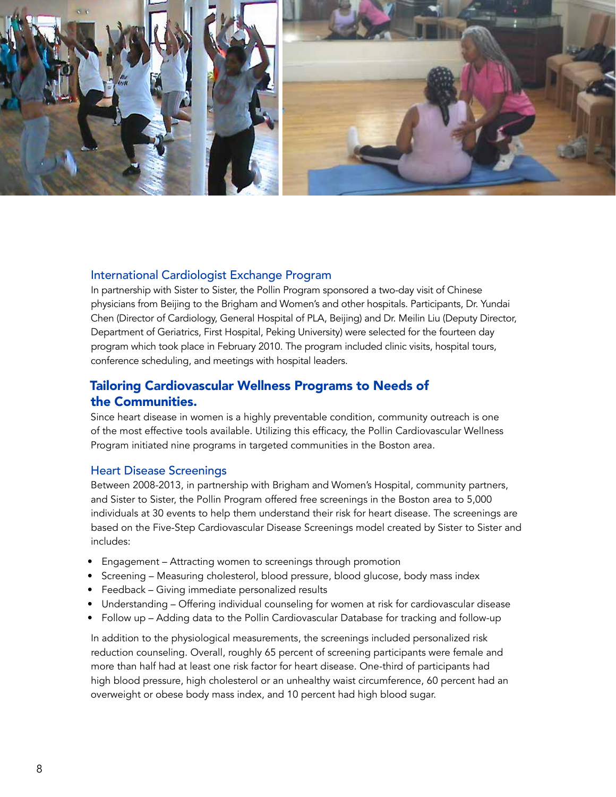

#### International Cardiologist Exchange Program

In partnership with Sister to Sister, the Pollin Program sponsored a two-day visit of Chinese physicians from Beijing to the Brigham and Women's and other hospitals. Participants, Dr. Yundai Chen (Director of Cardiology, General Hospital of PLA, Beijing) and Dr. Meilin Liu (Deputy Director, Department of Geriatrics, First Hospital, Peking University) were selected for the fourteen day program which took place in February 2010. The program included clinic visits, hospital tours, conference scheduling, and meetings with hospital leaders.

#### Tailoring Cardiovascular Wellness Programs to Needs of the Communities.

Since heart disease in women is a highly preventable condition, community outreach is one of the most effective tools available. Utilizing this efficacy, the Pollin Cardiovascular Wellness Program initiated nine programs in targeted communities in the Boston area.

#### Heart Disease Screenings

Between 2008-2013, in partnership with Brigham and Women's Hospital, community partners, and Sister to Sister, the Pollin Program offered free screenings in the Boston area to 5,000 individuals at 30 events to help them understand their risk for heart disease. The screenings are based on the Five-Step Cardiovascular Disease Screenings model created by Sister to Sister and includes:

- Engagement Attracting women to screenings through promotion
- Screening Measuring cholesterol, blood pressure, blood glucose, body mass index
- Feedback Giving immediate personalized results
- Understanding Offering individual counseling for women at risk for cardiovascular disease
- Follow up Adding data to the Pollin Cardiovascular Database for tracking and follow-up

In addition to the physiological measurements, the screenings included personalized risk reduction counseling. Overall, roughly 65 percent of screening participants were female and more than half had at least one risk factor for heart disease. One-third of participants had high blood pressure, high cholesterol or an unhealthy waist circumference, 60 percent had an overweight or obese body mass index, and 10 percent had high blood sugar.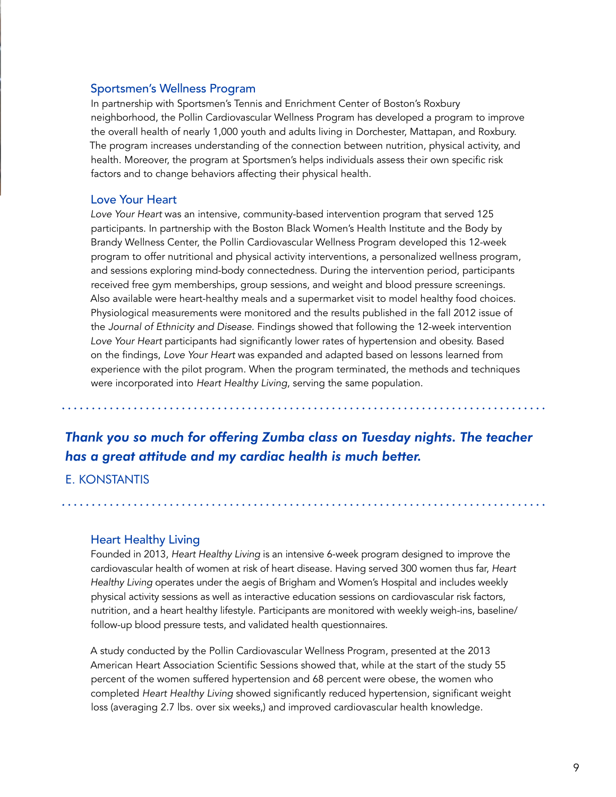#### Sportsmen's Wellness Program

In partnership with Sportsmen's Tennis and Enrichment Center of Boston's Roxbury neighborhood, the Pollin Cardiovascular Wellness Program has developed a program to improve the overall health of nearly 1,000 youth and adults living in Dorchester, Mattapan, and Roxbury. The program increases understanding of the connection between nutrition, physical activity, and health. Moreover, the program at Sportsmen's helps individuals assess their own specific risk factors and to change behaviors affecting their physical health.

#### Love Your Heart

*Love Your Heart* was an intensive, community-based intervention program that served 125 participants. In partnership with the Boston Black Women's Health Institute and the Body by Brandy Wellness Center, the Pollin Cardiovascular Wellness Program developed this 12-week program to offer nutritional and physical activity interventions, a personalized wellness program, and sessions exploring mind-body connectedness. During the intervention period, participants received free gym memberships, group sessions, and weight and blood pressure screenings. Also available were heart-healthy meals and a supermarket visit to model healthy food choices. Physiological measurements were monitored and the results published in the fall 2012 issue of the *Journal of Ethnicity and Disease*. Findings showed that following the 12-week intervention *Love Your Heart* participants had significantly lower rates of hypertension and obesity. Based on the findings, *Love Your Heart* was expanded and adapted based on lessons learned from experience with the pilot program. When the program terminated, the methods and techniques were incorporated into *Heart Healthy Living*, serving the same population.

## *Thank you so much for offering Zumba class on Tuesday nights. The teacher has a great attitude and my cardiac health is much better.*

#### E. Konstantis

#### Heart Healthy Living

Founded in 2013, *Heart Healthy Living* is an intensive 6-week program designed to improve the cardiovascular health of women at risk of heart disease. Having served 300 women thus far, *Heart Healthy Living* operates under the aegis of Brigham and Women's Hospital and includes weekly physical activity sessions as well as interactive education sessions on cardiovascular risk factors, nutrition, and a heart healthy lifestyle. Participants are monitored with weekly weigh-ins, baseline/ follow-up blood pressure tests, and validated health questionnaires.

A study conducted by the Pollin Cardiovascular Wellness Program, presented at the 2013 American Heart Association Scientific Sessions showed that, while at the start of the study 55 percent of the women suffered hypertension and 68 percent were obese, the women who completed *Heart Healthy Living* showed significantly reduced hypertension, significant weight loss (averaging 2.7 lbs. over six weeks,) and improved cardiovascular health knowledge.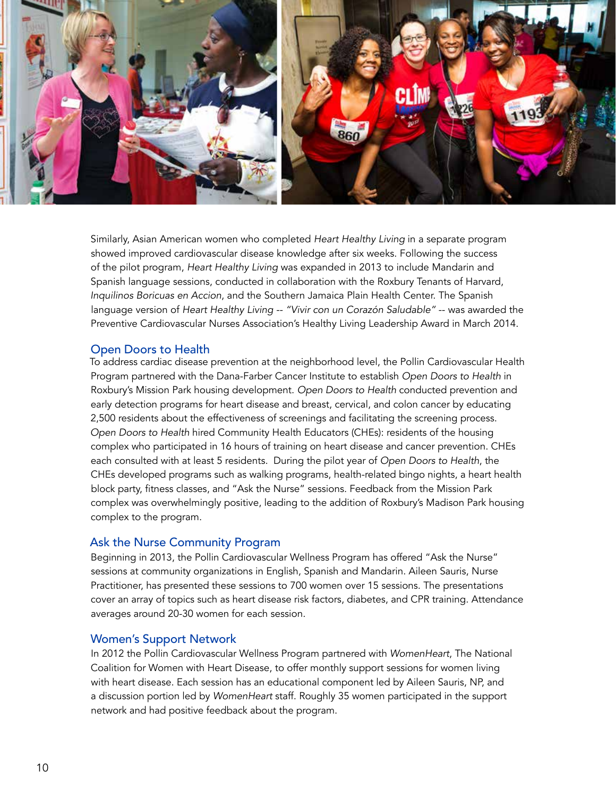

Similarly, Asian American women who completed *Heart Healthy Living* in a separate program showed improved cardiovascular disease knowledge after six weeks. Following the success of the pilot program, *Heart Healthy Living* was expanded in 2013 to include Mandarin and Spanish language sessions, conducted in collaboration with the Roxbury Tenants of Harvard, *Inquilinos Boricuas en Accion*, and the Southern Jamaica Plain Health Center. The Spanish language version of *Heart Healthy Living -- "Vivir con un Corazón Saludable"* -- was awarded the Preventive Cardiovascular Nurses Association's Healthy Living Leadership Award in March 2014.

#### Open Doors to Health

To address cardiac disease prevention at the neighborhood level, the Pollin Cardiovascular Health Program partnered with the Dana-Farber Cancer Institute to establish *Open Doors to Health* in Roxbury's Mission Park housing development. *Open Doors to Health* conducted prevention and early detection programs for heart disease and breast, cervical, and colon cancer by educating 2,500 residents about the effectiveness of screenings and facilitating the screening process. *Open Doors to Health* hired Community Health Educators (CHEs): residents of the housing complex who participated in 16 hours of training on heart disease and cancer prevention. CHEs each consulted with at least 5 residents. During the pilot year of *Open Doors to Health*, the CHEs developed programs such as walking programs, health-related bingo nights, a heart health block party, fitness classes, and "Ask the Nurse" sessions. Feedback from the Mission Park complex was overwhelmingly positive, leading to the addition of Roxbury's Madison Park housing complex to the program.

#### Ask the Nurse Community Program

Beginning in 2013, the Pollin Cardiovascular Wellness Program has offered "Ask the Nurse" sessions at community organizations in English, Spanish and Mandarin. Aileen Sauris, Nurse Practitioner, has presented these sessions to 700 women over 15 sessions. The presentations cover an array of topics such as heart disease risk factors, diabetes, and CPR training. Attendance averages around 20-30 women for each session.

#### Women's Support Network

In 2012 the Pollin Cardiovascular Wellness Program partnered with *WomenHeart*, The National Coalition for Women with Heart Disease, to offer monthly support sessions for women living with heart disease. Each session has an educational component led by Aileen Sauris, NP, and a discussion portion led by *WomenHeart* staff. Roughly 35 women participated in the support network and had positive feedback about the program.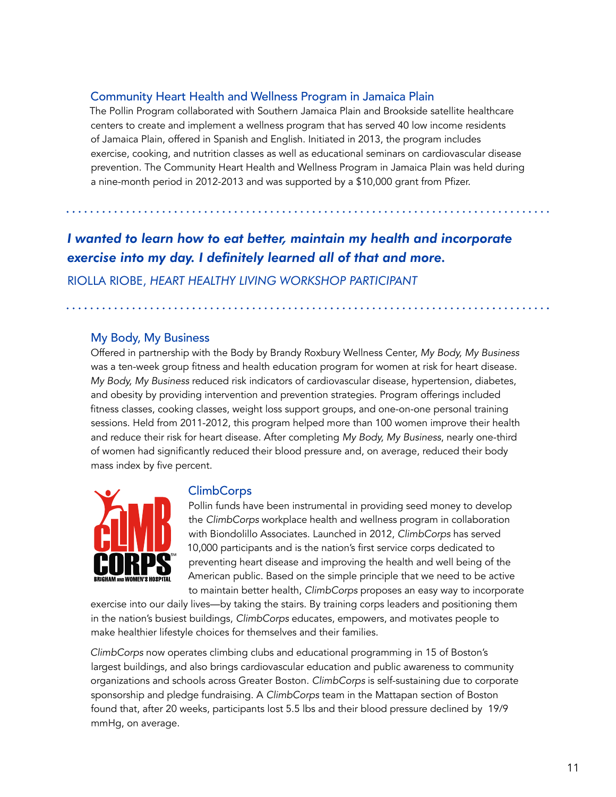#### Community Heart Health and Wellness Program in Jamaica Plain

The Pollin Program collaborated with Southern Jamaica Plain and Brookside satellite healthcare centers to create and implement a wellness program that has served 40 low income residents of Jamaica Plain, offered in Spanish and English. Initiated in 2013, the program includes exercise, cooking, and nutrition classes as well as educational seminars on cardiovascular disease prevention. The Community Heart Health and Wellness Program in Jamaica Plain was held during a nine-month period in 2012-2013 and was supported by a \$10,000 grant from Pfizer.

## *I wanted to learn how to eat better, maintain my health and incorporate exercise into my day. I definitely learned all of that and more.*

Riolla Riobe, *Heart Healthy Living workshop participant*

#### My Body, My Business

Offered in partnership with the Body by Brandy Roxbury Wellness Center, *My Body, My Business*  was a ten-week group fitness and health education program for women at risk for heart disease. *My Body, My Business* reduced risk indicators of cardiovascular disease, hypertension, diabetes, and obesity by providing intervention and prevention strategies. Program offerings included fitness classes, cooking classes, weight loss support groups, and one-on-one personal training sessions. Held from 2011-2012, this program helped more than 100 women improve their health and reduce their risk for heart disease. After completing *My Body, My Business*, nearly one-third of women had significantly reduced their blood pressure and, on average, reduced their body mass index by five percent.



#### ClimbCorps

Pollin funds have been instrumental in providing seed money to develop the *ClimbCorps* workplace health and wellness program in collaboration with Biondolillo Associates. Launched in 2012, *ClimbCorps* has served 10,000 participants and is the nation's first service corps dedicated to preventing heart disease and improving the health and well being of the American public. Based on the simple principle that we need to be active to maintain better health, *ClimbCorps* proposes an easy way to incorporate

exercise into our daily lives—by taking the stairs. By training corps leaders and positioning them in the nation's busiest buildings, *ClimbCorps* educates, empowers, and motivates people to make healthier lifestyle choices for themselves and their families.

*ClimbCorps* now operates climbing clubs and educational programming in 15 of Boston's largest buildings, and also brings cardiovascular education and public awareness to community organizations and schools across Greater Boston. *ClimbCorps* is self-sustaining due to corporate sponsorship and pledge fundraising. A *ClimbCorps* team in the Mattapan section of Boston found that, after 20 weeks, participants lost 5.5 lbs and their blood pressure declined by 19/9 mmHg, on average.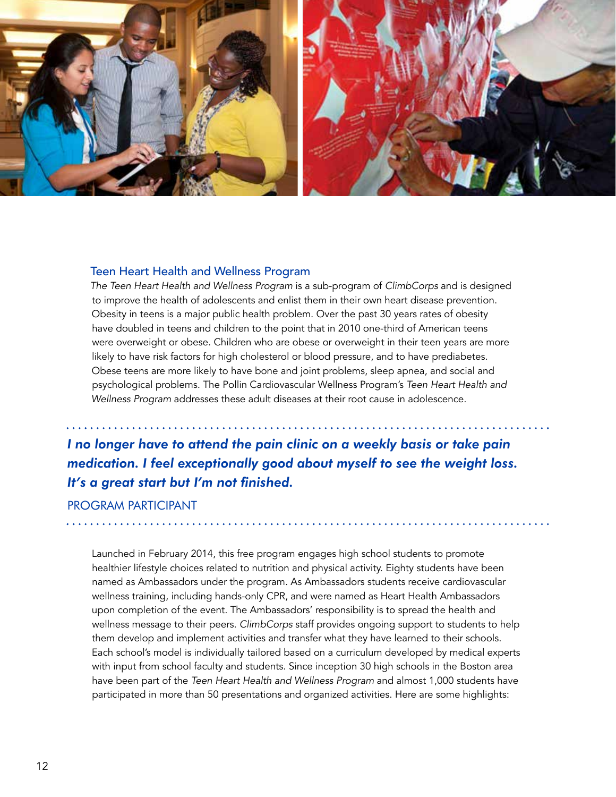

#### Teen Heart Health and Wellness Program

*The Teen Heart Health and Wellness Program* is a sub-program of *ClimbCorps* and is designed to improve the health of adolescents and enlist them in their own heart disease prevention. Obesity in teens is a major public health problem. Over the past 30 years rates of obesity have doubled in teens and children to the point that in 2010 one-third of American teens were overweight or obese. Children who are obese or overweight in their teen years are more likely to have risk factors for high cholesterol or blood pressure, and to have prediabetes. Obese teens are more likely to have bone and joint problems, sleep apnea, and social and psychological problems. The Pollin Cardiovascular Wellness Program's *Teen Heart Health and Wellness Program* addresses these adult diseases at their root cause in adolescence.

*I no longer have to attend the pain clinic on a weekly basis or take pain medication. I feel exceptionally good about myself to see the weight loss. It's a great start but I'm not finished.*

#### Program Participant

Launched in February 2014, this free program engages high school students to promote healthier lifestyle choices related to nutrition and physical activity. Eighty students have been named as Ambassadors under the program. As Ambassadors students receive cardiovascular wellness training, including hands-only CPR, and were named as Heart Health Ambassadors upon completion of the event. The Ambassadors' responsibility is to spread the health and wellness message to their peers. *ClimbCorps* staff provides ongoing support to students to help them develop and implement activities and transfer what they have learned to their schools. Each school's model is individually tailored based on a curriculum developed by medical experts with input from school faculty and students. Since inception 30 high schools in the Boston area have been part of the *Teen Heart Health and Wellness Program* and almost 1,000 students have participated in more than 50 presentations and organized activities. Here are some highlights: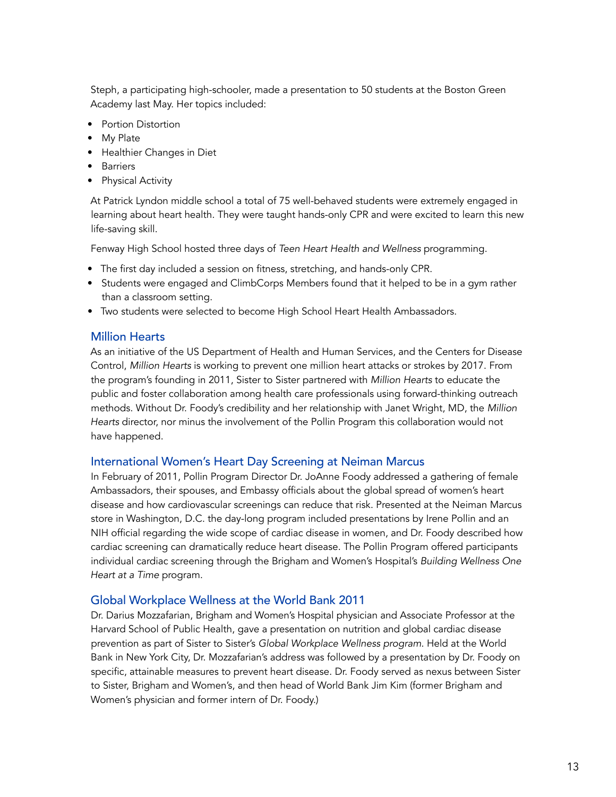Steph, a participating high-schooler, made a presentation to 50 students at the Boston Green Academy last May. Her topics included:

- Portion Distortion
- My Plate
- Healthier Changes in Diet
- Barriers
- Physical Activity

At Patrick Lyndon middle school a total of 75 well-behaved students were extremely engaged in learning about heart health. They were taught hands-only CPR and were excited to learn this new life-saving skill.

Fenway High School hosted three days of *Teen Heart Health and Wellness* programming.

- The first day included a session on fitness, stretching, and hands-only CPR.
- Students were engaged and ClimbCorps Members found that it helped to be in a gym rather than a classroom setting.
- Two students were selected to become High School Heart Health Ambassadors.

#### Million Hearts

As an initiative of the US Department of Health and Human Services, and the Centers for Disease Control, *Million Hearts* is working to prevent one million heart attacks or strokes by 2017. From the program's founding in 2011, Sister to Sister partnered with *Million Hearts* to educate the public and foster collaboration among health care professionals using forward-thinking outreach methods. Without Dr. Foody's credibility and her relationship with Janet Wright, MD, the *Million Hearts* director, nor minus the involvement of the Pollin Program this collaboration would not have happened.

#### International Women's Heart Day Screening at Neiman Marcus

In February of 2011, Pollin Program Director Dr. JoAnne Foody addressed a gathering of female Ambassadors, their spouses, and Embassy officials about the global spread of women's heart disease and how cardiovascular screenings can reduce that risk. Presented at the Neiman Marcus store in Washington, D.C. the day-long program included presentations by Irene Pollin and an NIH official regarding the wide scope of cardiac disease in women, and Dr. Foody described how cardiac screening can dramatically reduce heart disease. The Pollin Program offered participants individual cardiac screening through the Brigham and Women's Hospital's *Building Wellness One Heart at a Time* program.

#### Global Workplace Wellness at the World Bank 2011

Dr. Darius Mozzafarian, Brigham and Women's Hospital physician and Associate Professor at the Harvard School of Public Health, gave a presentation on nutrition and global cardiac disease prevention as part of Sister to Sister's *Global Workplace Wellness program*. Held at the World Bank in New York City, Dr. Mozzafarian's address was followed by a presentation by Dr. Foody on specific, attainable measures to prevent heart disease. Dr. Foody served as nexus between Sister to Sister, Brigham and Women's, and then head of World Bank Jim Kim (former Brigham and Women's physician and former intern of Dr. Foody.)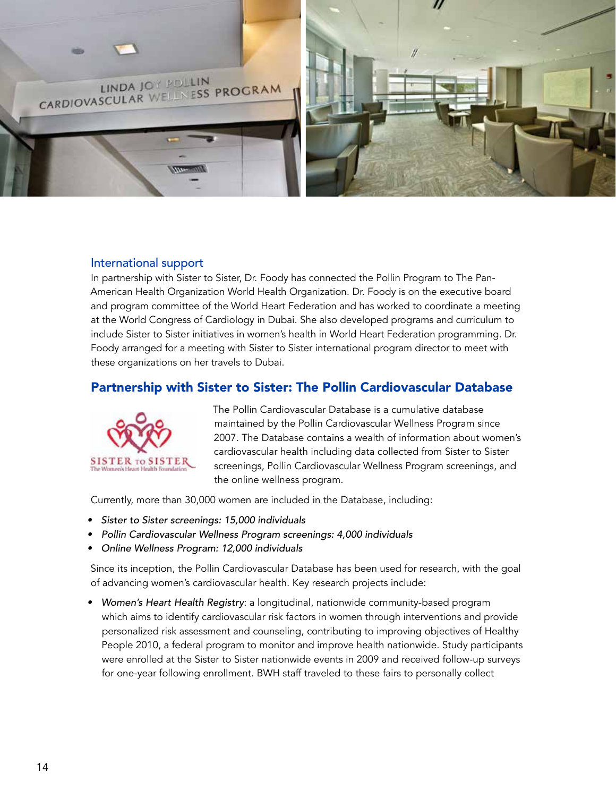

#### International support

In partnership with Sister to Sister, Dr. Foody has connected the Pollin Program to The Pan-American Health Organization World Health Organization. Dr. Foody is on the executive board and program committee of the World Heart Federation and has worked to coordinate a meeting at the World Congress of Cardiology in Dubai. She also developed programs and curriculum to include Sister to Sister initiatives in women's health in World Heart Federation programming. Dr. Foody arranged for a meeting with Sister to Sister international program director to meet with these organizations on her travels to Dubai.

#### Partnership with Sister to Sister: The Pollin Cardiovascular Database



The Pollin Cardiovascular Database is a cumulative database maintained by the Pollin Cardiovascular Wellness Program since 2007. The Database contains a wealth of information about women's cardiovascular health including data collected from Sister to Sister screenings, Pollin Cardiovascular Wellness Program screenings, and the online wellness program.

Currently, more than 30,000 women are included in the Database, including:

- • Sister to Sister screenings: 15,000 individuals
- Pollin Cardiovascular Wellness Program screenings: 4,000 individuals
- Online Wellness Program: 12,000 individuals

Since its inception, the Pollin Cardiovascular Database has been used for research, with the goal of advancing women's cardiovascular health. Key research projects include:

• Women's Heart Health Registry: a longitudinal, nationwide community-based program which aims to identify cardiovascular risk factors in women through interventions and provide personalized risk assessment and counseling, contributing to improving objectives of Healthy People 2010, a federal program to monitor and improve health nationwide. Study participants were enrolled at the Sister to Sister nationwide events in 2009 and received follow-up surveys for one-year following enrollment. BWH staff traveled to these fairs to personally collect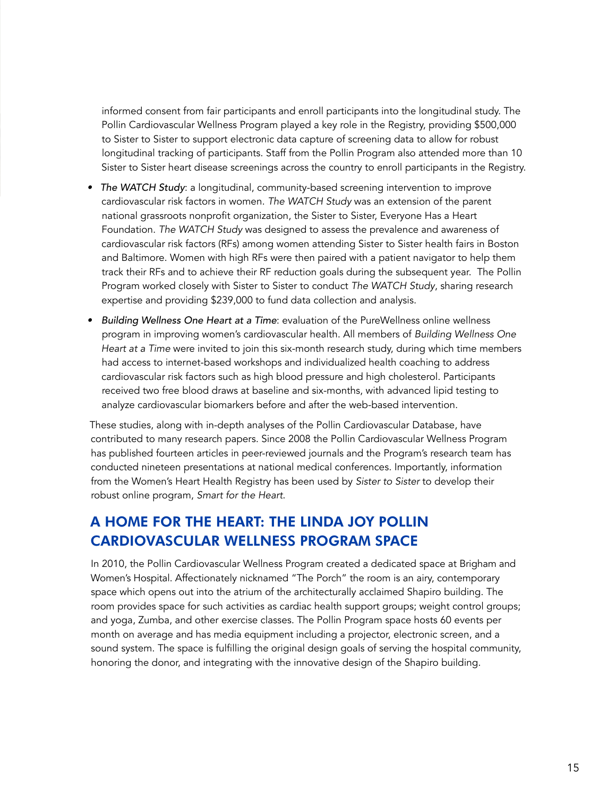informed consent from fair participants and enroll participants into the longitudinal study. The Pollin Cardiovascular Wellness Program played a key role in the Registry, providing \$500,000 to Sister to Sister to support electronic data capture of screening data to allow for robust longitudinal tracking of participants. Staff from the Pollin Program also attended more than 10 Sister to Sister heart disease screenings across the country to enroll participants in the Registry.

- The WATCH Study: a longitudinal, community-based screening intervention to improve cardiovascular risk factors in women. *The WATCH Study* was an extension of the parent national grassroots nonprofit organization, the Sister to Sister, Everyone Has a Heart Foundation. *The WATCH Study* was designed to assess the prevalence and awareness of cardiovascular risk factors (RFs) among women attending Sister to Sister health fairs in Boston and Baltimore. Women with high RFs were then paired with a patient navigator to help them track their RFs and to achieve their RF reduction goals during the subsequent year. The Pollin Program worked closely with Sister to Sister to conduct *The WATCH Study*, sharing research expertise and providing \$239,000 to fund data collection and analysis.
- Building Wellness One Heart at a Time: evaluation of the PureWellness online wellness program in improving women's cardiovascular health. All members of *Building Wellness One Heart at a Time* were invited to join this six-month research study, during which time members had access to internet-based workshops and individualized health coaching to address cardiovascular risk factors such as high blood pressure and high cholesterol. Participants received two free blood draws at baseline and six-months, with advanced lipid testing to analyze cardiovascular biomarkers before and after the web-based intervention.

These studies, along with in-depth analyses of the Pollin Cardiovascular Database, have contributed to many research papers. Since 2008 the Pollin Cardiovascular Wellness Program has published fourteen articles in peer-reviewed journals and the Program's research team has conducted nineteen presentations at national medical conferences. Importantly, information from the Women's Heart Health Registry has been used by *Sister to Sister* to develop their robust online program, *Smart for the Heart*.

## A HOME FOR THE HEART: THE LINDA JOY POLLIN CARDIOVASCULAR WELLNESS PROGRAM SPACE

In 2010, the Pollin Cardiovascular Wellness Program created a dedicated space at Brigham and Women's Hospital. Affectionately nicknamed "The Porch" the room is an airy, contemporary space which opens out into the atrium of the architecturally acclaimed Shapiro building. The room provides space for such activities as cardiac health support groups; weight control groups; and yoga, Zumba, and other exercise classes. The Pollin Program space hosts 60 events per month on average and has media equipment including a projector, electronic screen, and a sound system. The space is fulfilling the original design goals of serving the hospital community, honoring the donor, and integrating with the innovative design of the Shapiro building.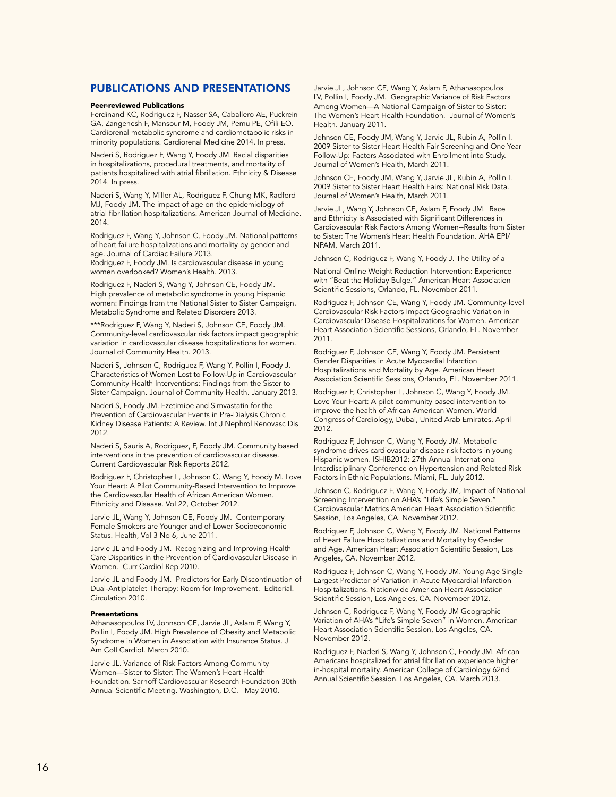#### PUBLICATIONS AND PRESENTATIONS

#### Peer-reviewed Publications

Ferdinand KC, Rodriguez F, Nasser SA, Caballero AE, Puckrein GA, Zangenesh F, Mansour M, Foody JM, Pemu PE, Ofili EO. Cardiorenal metabolic syndrome and cardiometabolic risks in minority populations. Cardiorenal Medicine 2014. In press.

Naderi S, Rodriguez F, Wang Y, Foody JM. Racial disparities in hospitalizations, procedural treatments, and mortality of patients hospitalized with atrial fibrillation. Ethnicity & Disease 2014. In press.

Naderi S, Wang Y, Miller AL, Rodriguez F, Chung MK, Radford MJ, Foody JM. The impact of age on the epidemiology of atrial fibrillation hospitalizations. American Journal of Medicine. 2014.

Rodriguez F, Wang Y, Johnson C, Foody JM. National patterns of heart failure hospitalizations and mortality by gender and age. Journal of Cardiac Failure 2013.

Rodriguez F, Foody JM. Is cardiovascular disease in young women overlooked? Women's Health. 2013.

Rodriguez F, Naderi S, Wang Y, Johnson CE, Foody JM. High prevalence of metabolic syndrome in young Hispanic women: Findings from the National Sister to Sister Campaign. Metabolic Syndrome and Related Disorders 2013.

\*\*\*Rodriguez F, Wang Y, Naderi S, Johnson CE, Foody JM. Community-level cardiovascular risk factors impact geographic variation in cardiovascular disease hospitalizations for women. Journal of Community Health. 2013.

Naderi S, Johnson C, Rodriguez F, Wang Y, Pollin I, Foody J. Characteristics of Women Lost to Follow-Up in Cardiovascular Community Health Interventions: Findings from the Sister to Sister Campaign. Journal of Community Health. January 2013.

Naderi S, Foody JM. Ezetimibe and Simvastatin for the Prevention of Cardiovascular Events in Pre-Dialysis Chronic Kidney Disease Patients: A Review. Int J Nephrol Renovasc Dis 2012.

Naderi S, Sauris A, Rodriguez, F, Foody JM. Community based interventions in the prevention of cardiovascular disease. Current Cardiovascular Risk Reports 2012.

Rodriguez F, Christopher L, Johnson C, Wang Y, Foody M. Love Your Heart: A Pilot Community-Based Intervention to Improve the Cardiovascular Health of African American Women. Ethnicity and Disease. Vol 22, October 2012.

Jarvie JL, Wang Y, Johnson CE, Foody JM. Contemporary Female Smokers are Younger and of Lower Socioeconomic Status. Health, Vol 3 No 6, June 2011.

Jarvie JL and Foody JM. Recognizing and Improving Health Care Disparities in the Prevention of Cardiovascular Disease in Women. Curr Cardiol Rep 2010.

Jarvie JL and Foody JM. Predictors for Early Discontinuation of Dual-Antiplatelet Therapy: Room for Improvement. Editorial. Circulation 2010.

#### **Presentations**

Athanasopoulos LV, Johnson CE, Jarvie JL, Aslam F, Wang Y, Pollin I, Foody JM. High Prevalence of Obesity and Metabolic Syndrome in Women in Association with Insurance Status. J Am Coll Cardiol. March 2010.

Jarvie JL. Variance of Risk Factors Among Community Women—Sister to Sister: The Women's Heart Health Foundation. Sarnoff Cardiovascular Research Foundation 30th Annual Scientific Meeting. Washington, D.C. May 2010.

Jarvie JL, Johnson CE, Wang Y, Aslam F, Athanasopoulos LV, Pollin I, Foody JM. Geographic Variance of Risk Factors Among Women-A National Campaign of Sister to Sister: The Women's Heart Health Foundation. Journal of Women's Health. January 2011.

Johnson CE, Foody JM, Wang Y, Jarvie JL, Rubin A, Pollin I. 2009 Sister to Sister Heart Health Fair Screening and One Year Follow-Up: Factors Associated with Enrollment into Study. Journal of Women's Health, March 2011.

Johnson CE, Foody JM, Wang Y, Jarvie JL, Rubin A, Pollin I. 2009 Sister to Sister Heart Health Fairs: National Risk Data. Journal of Women's Health, March 2011.

Jarvie JL, Wang Y, Johnson CE, Aslam F, Foody JM. Race and Ethnicity is Associated with Significant Differences in Cardiovascular Risk Factors Among Women--Results from Sister to Sister: The Women's Heart Health Foundation. AHA EPI/ NPAM, March 2011.

Johnson C, Rodriguez F, Wang Y, Foody J. The Utility of a

National Online Weight Reduction Intervention: Experience with "Beat the Holiday Bulge." American Heart Association Scientific Sessions, Orlando, FL. November 2011.

Rodriguez F, Johnson CE, Wang Y, Foody JM. Community-level Cardiovascular Risk Factors Impact Geographic Variation in Cardiovascular Disease Hospitalizations for Women. American Heart Association Scientific Sessions, Orlando, FL. November 2011.

Rodriguez F, Johnson CE, Wang Y, Foody JM. Persistent Gender Disparities in Acute Myocardial Infarction Hospitalizations and Mortality by Age. American Heart Association Scientific Sessions, Orlando, FL. November 2011.

Rodriguez F, Christopher L, Johnson C, Wang Y, Foody JM. Love Your Heart: A pilot community based intervention to improve the health of African American Women. World Congress of Cardiology, Dubai, United Arab Emirates. April 2012.

Rodriguez F, Johnson C, Wang Y, Foody JM. Metabolic syndrome drives cardiovascular disease risk factors in young Hispanic women. ISHIB2012: 27th Annual International Interdisciplinary Conference on Hypertension and Related Risk Factors in Ethnic Populations. Miami, FL. July 2012.

Johnson C, Rodriguez F, Wang Y, Foody JM, Impact of National Screening Intervention on AHA's "Life's Simple Seven." Cardiovascular Metrics American Heart Association Scientific Session, Los Angeles, CA. November 2012.

Rodriguez F, Johnson C, Wang Y, Foody JM. National Patterns of Heart Failure Hospitalizations and Mortality by Gender and Age. American Heart Association Scientific Session, Los Angeles, CA. November 2012.

Rodriguez F, Johnson C, Wang Y, Foody JM. Young Age Single Largest Predictor of Variation in Acute Myocardial Infarction Hospitalizations. Nationwide American Heart Association Scientific Session, Los Angeles, CA. November 2012.

Johnson C, Rodriguez F, Wang Y, Foody JM Geographic Variation of AHA's "Life's Simple Seven" in Women. American Heart Association Scientific Session, Los Angeles, CA. November 2012.

Rodriguez F, Naderi S, Wang Y, Johnson C, Foody JM. African Americans hospitalized for atrial fibrillation experience higher in-hospital mortality. American College of Cardiology 62nd Annual Scientific Session. Los Angeles, CA. March 2013.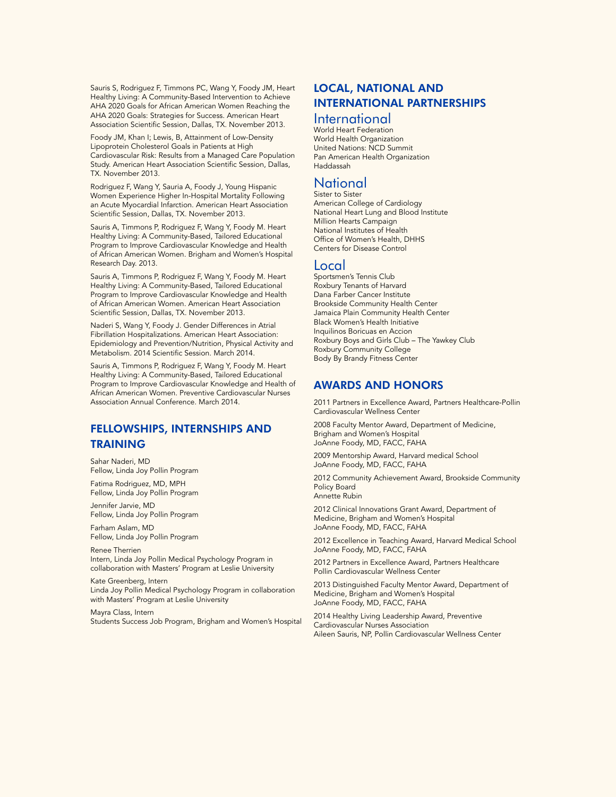Sauris S, Rodriguez F, Timmons PC, Wang Y, Foody JM, Heart Healthy Living: A Community-Based Intervention to Achieve AHA 2020 Goals for African American Women Reaching the AHA 2020 Goals: Strategies for Success. American Heart Association Scientific Session, Dallas, TX. November 2013.

Foody JM, Khan I; Lewis, B, Attainment of Low-Density Lipoprotein Cholesterol Goals in Patients at High Cardiovascular Risk: Results from a Managed Care Population Study. American Heart Association Scientific Session, Dallas, TX. November 2013.

Rodriguez F, Wang Y, Sauria A, Foody J, Young Hispanic Women Experience Higher In-Hospital Mortality Following an Acute Myocardial Infarction. American Heart Association Scientific Session, Dallas, TX. November 2013.

Sauris A, Timmons P, Rodriguez F, Wang Y, Foody M. Heart Healthy Living: A Community-Based, Tailored Educational Program to Improve Cardiovascular Knowledge and Health of African American Women. Brigham and Women's Hospital Research Day. 2013.

Sauris A, Timmons P, Rodriguez F, Wang Y, Foody M. Heart Healthy Living: A Community-Based, Tailored Educational Program to Improve Cardiovascular Knowledge and Health of African American Women. American Heart Association Scientific Session, Dallas, TX. November 2013.

Naderi S, Wang Y, Foody J. Gender Differences in Atrial Fibrillation Hospitalizations. American Heart Association: Epidemiology and Prevention/Nutrition, Physical Activity and Metabolism. 2014 Scientific Session. March 2014.

Sauris A, Timmons P, Rodriguez F, Wang Y, Foody M. Heart Healthy Living: A Community-Based, Tailored Educational Program to Improve Cardiovascular Knowledge and Health of African American Women. Preventive Cardiovascular Nurses Association Annual Conference. March 2014.

#### FELLOWSHIPS, INTERNSHIPS AND TRAINING

Sahar Naderi, MD Fellow, Linda Joy Pollin Program

Fatima Rodriguez, MD, MPH Fellow, Linda Joy Pollin Program

Jennifer Jarvie, MD Fellow, Linda Joy Pollin Program

Farham Aslam, MD Fellow, Linda Joy Pollin Program

Renee Therrien Intern, Linda Joy Pollin Medical Psychology Program in collaboration with Masters' Program at Leslie University

Kate Greenberg, Intern Linda Joy Pollin Medical Psychology Program in collaboration with Masters' Program at Leslie University

Mayra Class, Intern Students Success Job Program, Brigham and Women's Hospital

#### LOCAL, NATIONAL AND INTERNATIONAL PARTNERSHIPS

#### International

World Heart Federation World Health Organization United Nations: NCD Summit Pan American Health Organization Haddassah

#### National Sister to Sister

American College of Cardiology National Heart Lung and Blood Institute Million Hearts Campaign National Institutes of Health Office of Women's Health, DHHS Centers for Disease Control

#### Local

Sportsmen's Tennis Club Roxbury Tenants of Harvard Dana Farber Cancer Institute Brookside Community Health Center Jamaica Plain Community Health Center Black Women's Health Initiative Inquilinos Boricuas en Accion Roxbury Boys and Girls Club – The Yawkey Club Roxbury Community College Body By Brandy Fitness Center

#### AWARDS AND HONORS

2011 Partners in Excellence Award, Partners Healthcare-Pollin Cardiovascular Wellness Center

2008 Faculty Mentor Award, Department of Medicine, Brigham and Women's Hospital JoAnne Foody, MD, FACC, FAHA

2009 Mentorship Award, Harvard medical School JoAnne Foody, MD, FACC, FAHA

2012 Community Achievement Award, Brookside Community Policy Board Annette Rubin

2012 Clinical Innovations Grant Award, Department of Medicine, Brigham and Women's Hospital

JoAnne Foody, MD, FACC, FAHA

2012 Excellence in Teaching Award, Harvard Medical School JoAnne Foody, MD, FACC, FAHA

2012 Partners in Excellence Award, Partners Healthcare Pollin Cardiovascular Wellness Center

2013 Distinguished Faculty Mentor Award, Department of Medicine, Brigham and Women's Hospital JoAnne Foody, MD, FACC, FAHA

2014 Healthy Living Leadership Award, Preventive Cardiovascular Nurses Association Aileen Sauris, NP, Pollin Cardiovascular Wellness Center